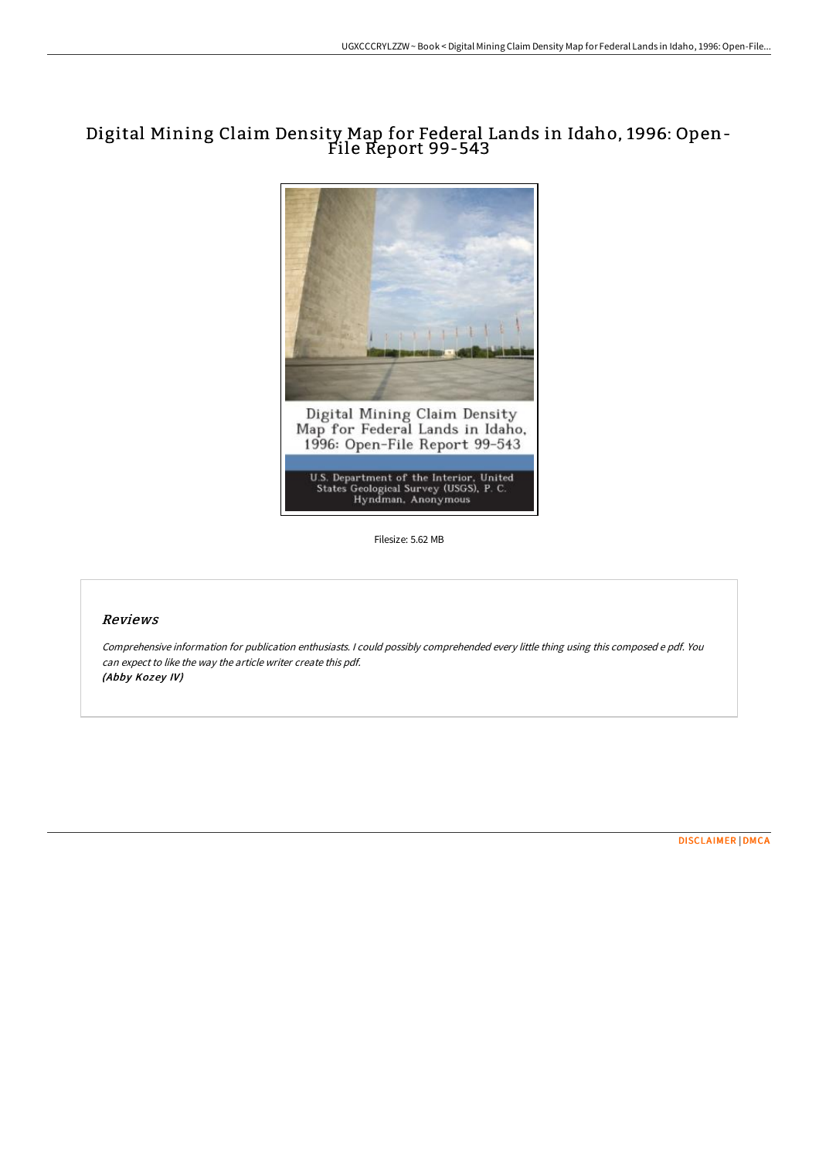## Digital Mining Claim Density Map for Federal Lands in Idaho, 1996: Open-File Report 99-543



Filesize: 5.62 MB

## Reviews

Comprehensive information for publication enthusiasts. <sup>I</sup> could possibly comprehended every little thing using this composed <sup>e</sup> pdf. You can expect to like the way the article writer create this pdf. (Abby Kozey IV)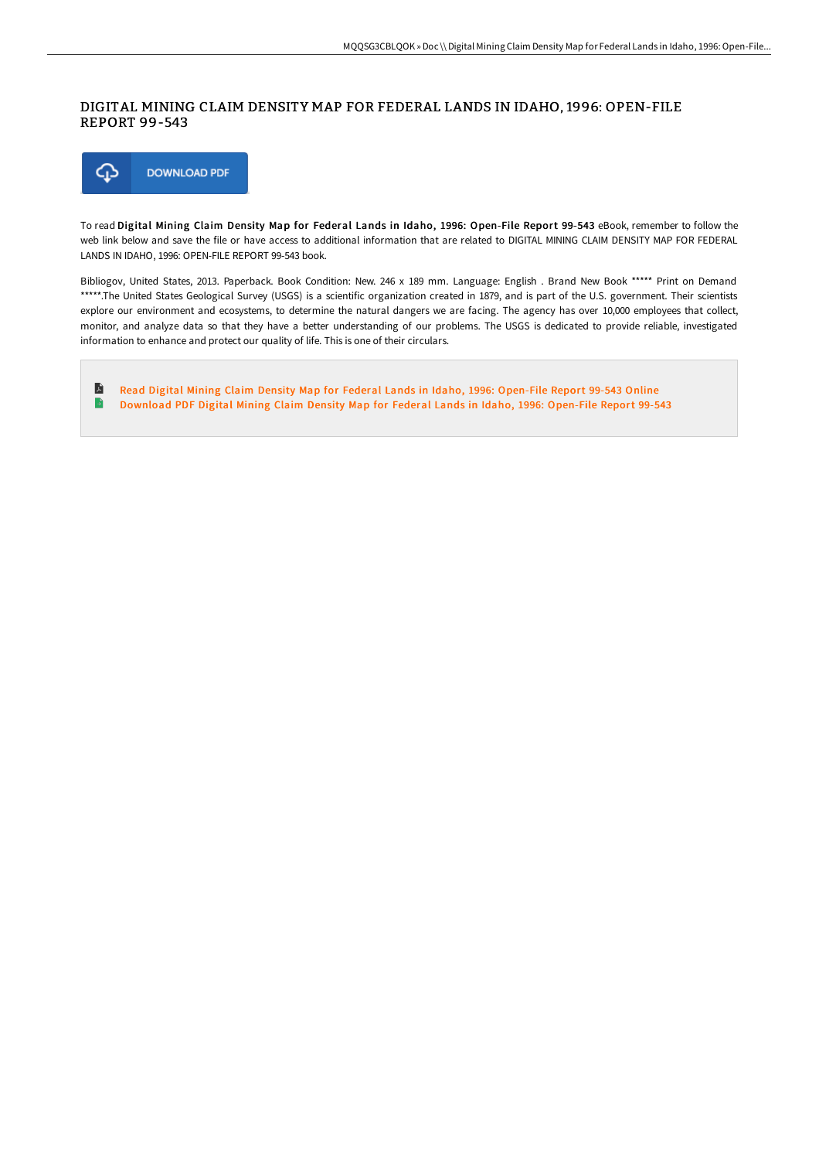## DIGITAL MINING CLAIM DENSITY MAP FOR FEDERAL LANDS IN IDAHO, 1996: OPEN-FILE REPORT 99-543



To read Digital Mining Claim Density Map for Federal Lands in Idaho, 1996: Open-File Report 99-543 eBook, remember to follow the web link below and save the file or have access to additional information that are related to DIGITAL MINING CLAIM DENSITY MAP FOR FEDERAL LANDS IN IDAHO, 1996: OPEN-FILE REPORT 99-543 book.

Bibliogov, United States, 2013. Paperback. Book Condition: New. 246 x 189 mm. Language: English . Brand New Book \*\*\*\*\* Print on Demand \*\*\*\*\*.The United States Geological Survey (USGS) is a scientific organization created in 1879, and is part of the U.S. government. Their scientists explore our environment and ecosystems, to determine the natural dangers we are facing. The agency has over 10,000 employees that collect, monitor, and analyze data so that they have a better understanding of our problems. The USGS is dedicated to provide reliable, investigated information to enhance and protect our quality of life. This is one of their circulars.

E Read Digital Mining Claim Density Map for Federal Lands in Idaho, 1996: [Open-File](http://albedo.media/digital-mining-claim-density-map-for-federal-lan-8.html) Report 99-543 Online  $\rightarrow$ [Download](http://albedo.media/digital-mining-claim-density-map-for-federal-lan-8.html) PDF Digital Mining Claim Density Map for Federal Lands in Idaho, 1996: Open-File Report 99-543